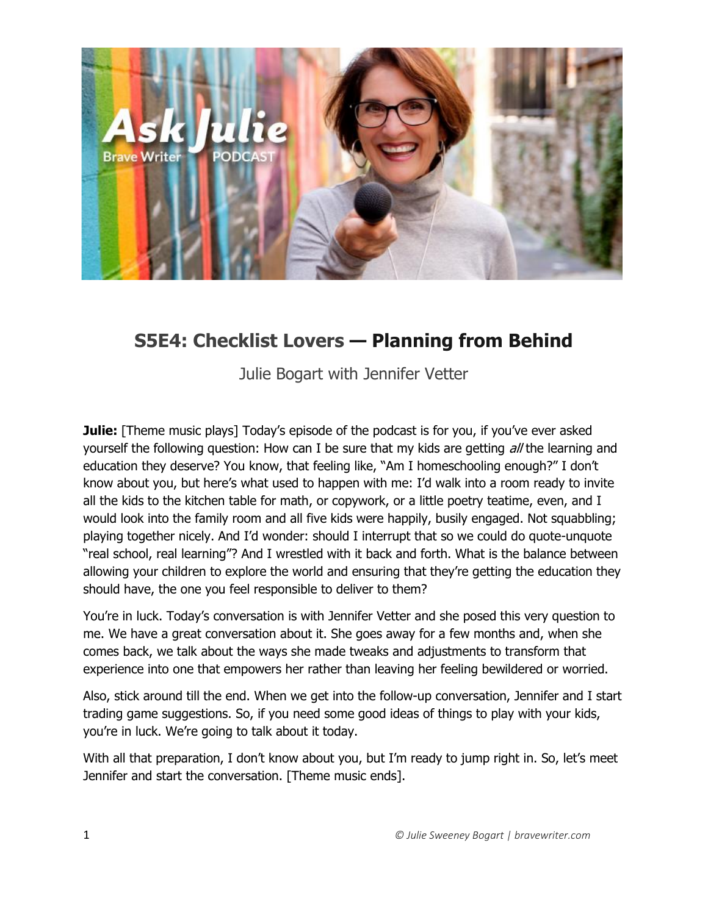

## **S5E4: Checklist Lovers — Planning from Behind**

Julie Bogart with Jennifer Vetter

**Julie:** [Theme music plays] Today's episode of the podcast is for you, if you've ever asked yourself the following question: How can I be sure that my kids are getting all the learning and education they deserve? You know, that feeling like, "Am I homeschooling enough?" I don't know about you, but here's what used to happen with me: I'd walk into a room ready to invite all the kids to the kitchen table for math, or copywork, or a little poetry teatime, even, and I would look into the family room and all five kids were happily, busily engaged. Not squabbling; playing together nicely. And I'd wonder: should I interrupt that so we could do quote-unquote "real school, real learning"? And I wrestled with it back and forth. What is the balance between allowing your children to explore the world and ensuring that they're getting the education they should have, the one you feel responsible to deliver to them?

You're in luck. Today's conversation is with Jennifer Vetter and she posed this very question to me. We have a great conversation about it. She goes away for a few months and, when she comes back, we talk about the ways she made tweaks and adjustments to transform that experience into one that empowers her rather than leaving her feeling bewildered or worried.

Also, stick around till the end. When we get into the follow-up conversation, Jennifer and I start trading game suggestions. So, if you need some good ideas of things to play with your kids, you're in luck. We're going to talk about it today.

With all that preparation, I don't know about you, but I'm ready to jump right in. So, let's meet Jennifer and start the conversation. [Theme music ends].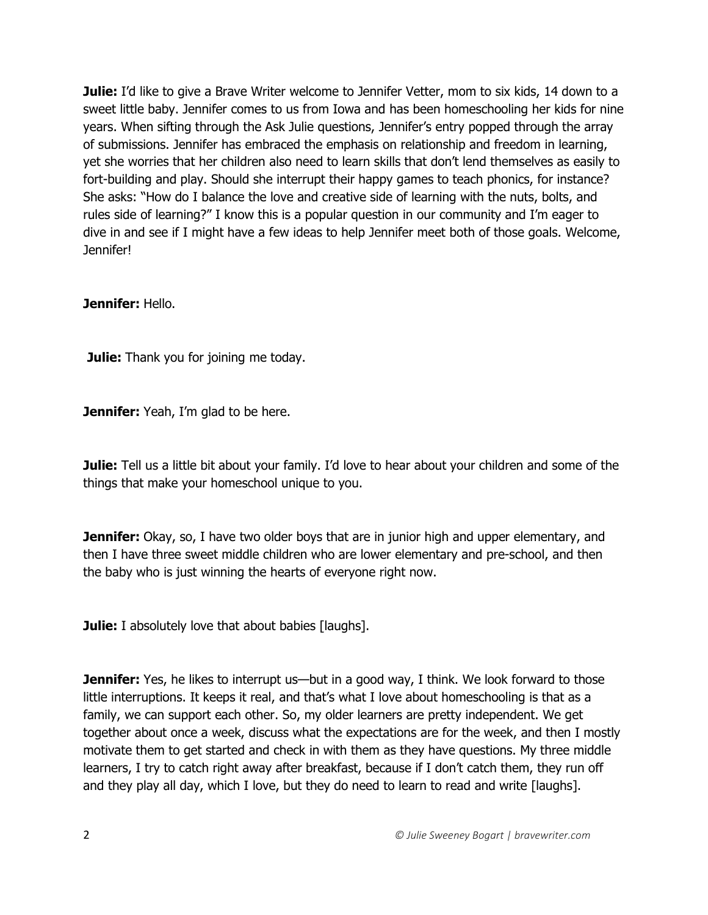**Julie:** I'd like to give a Brave Writer welcome to Jennifer Vetter, mom to six kids, 14 down to a sweet little baby. Jennifer comes to us from Iowa and has been homeschooling her kids for nine years. When sifting through the Ask Julie questions, Jennifer's entry popped through the array of submissions. Jennifer has embraced the emphasis on relationship and freedom in learning, yet she worries that her children also need to learn skills that don't lend themselves as easily to fort-building and play. Should she interrupt their happy games to teach phonics, for instance? She asks: "How do I balance the love and creative side of learning with the nuts, bolts, and rules side of learning?" I know this is a popular question in our community and I'm eager to dive in and see if I might have a few ideas to help Jennifer meet both of those goals. Welcome, Jennifer!

#### **Jennifer:** Hello.

**Julie:** Thank you for joining me today.

**Jennifer:** Yeah, I'm glad to be here.

**Julie:** Tell us a little bit about your family. I'd love to hear about your children and some of the things that make your homeschool unique to you.

**Jennifer:** Okay, so, I have two older boys that are in junior high and upper elementary, and then I have three sweet middle children who are lower elementary and pre-school, and then the baby who is just winning the hearts of everyone right now.

**Julie:** I absolutely love that about babies [laughs].

**Jennifer:** Yes, he likes to interrupt us—but in a good way, I think. We look forward to those little interruptions. It keeps it real, and that's what I love about homeschooling is that as a family, we can support each other. So, my older learners are pretty independent. We get together about once a week, discuss what the expectations are for the week, and then I mostly motivate them to get started and check in with them as they have questions. My three middle learners, I try to catch right away after breakfast, because if I don't catch them, they run off and they play all day, which I love, but they do need to learn to read and write [laughs].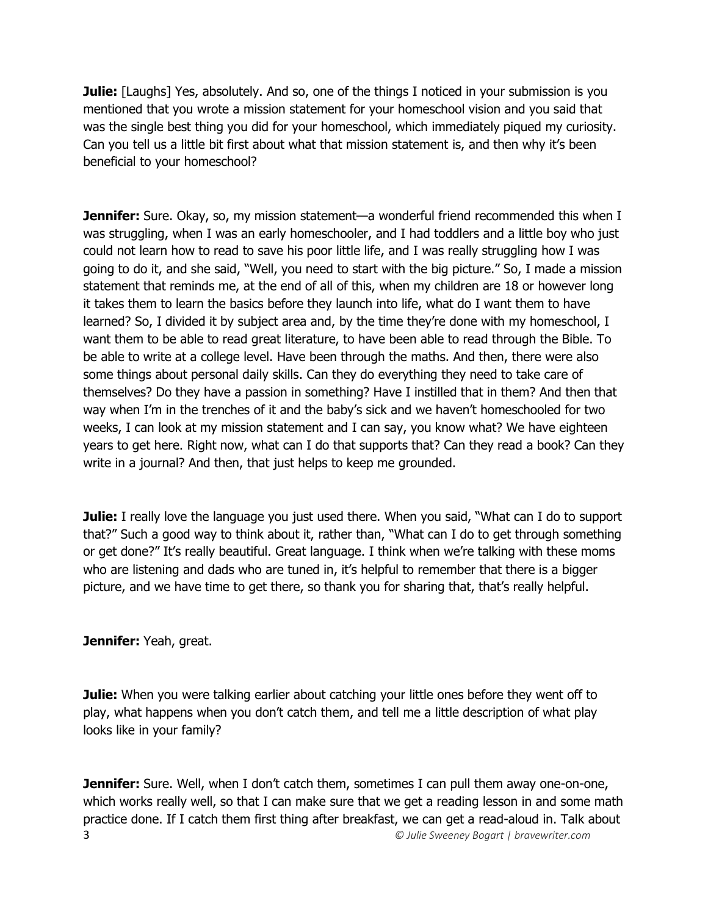**Julie:** [Laughs] Yes, absolutely. And so, one of the things I noticed in your submission is you mentioned that you wrote a mission statement for your homeschool vision and you said that was the single best thing you did for your homeschool, which immediately piqued my curiosity. Can you tell us a little bit first about what that mission statement is, and then why it's been beneficial to your homeschool?

**Jennifer:** Sure. Okay, so, my mission statement—a wonderful friend recommended this when I was struggling, when I was an early homeschooler, and I had toddlers and a little boy who just could not learn how to read to save his poor little life, and I was really struggling how I was going to do it, and she said, "Well, you need to start with the big picture." So, I made a mission statement that reminds me, at the end of all of this, when my children are 18 or however long it takes them to learn the basics before they launch into life, what do I want them to have learned? So, I divided it by subject area and, by the time they're done with my homeschool, I want them to be able to read great literature, to have been able to read through the Bible. To be able to write at a college level. Have been through the maths. And then, there were also some things about personal daily skills. Can they do everything they need to take care of themselves? Do they have a passion in something? Have I instilled that in them? And then that way when I'm in the trenches of it and the baby's sick and we haven't homeschooled for two weeks, I can look at my mission statement and I can say, you know what? We have eighteen years to get here. Right now, what can I do that supports that? Can they read a book? Can they write in a journal? And then, that just helps to keep me grounded.

**Julie:** I really love the language you just used there. When you said, "What can I do to support that?" Such a good way to think about it, rather than, "What can I do to get through something or get done?" It's really beautiful. Great language. I think when we're talking with these moms who are listening and dads who are tuned in, it's helpful to remember that there is a bigger picture, and we have time to get there, so thank you for sharing that, that's really helpful.

**Jennifer:** Yeah, great.

**Julie:** When you were talking earlier about catching your little ones before they went off to play, what happens when you don't catch them, and tell me a little description of what play looks like in your family?

3 *© Julie Sweeney Bogart | bravewriter.com* **Jennifer:** Sure. Well, when I don't catch them, sometimes I can pull them away one-on-one, which works really well, so that I can make sure that we get a reading lesson in and some math practice done. If I catch them first thing after breakfast, we can get a read-aloud in. Talk about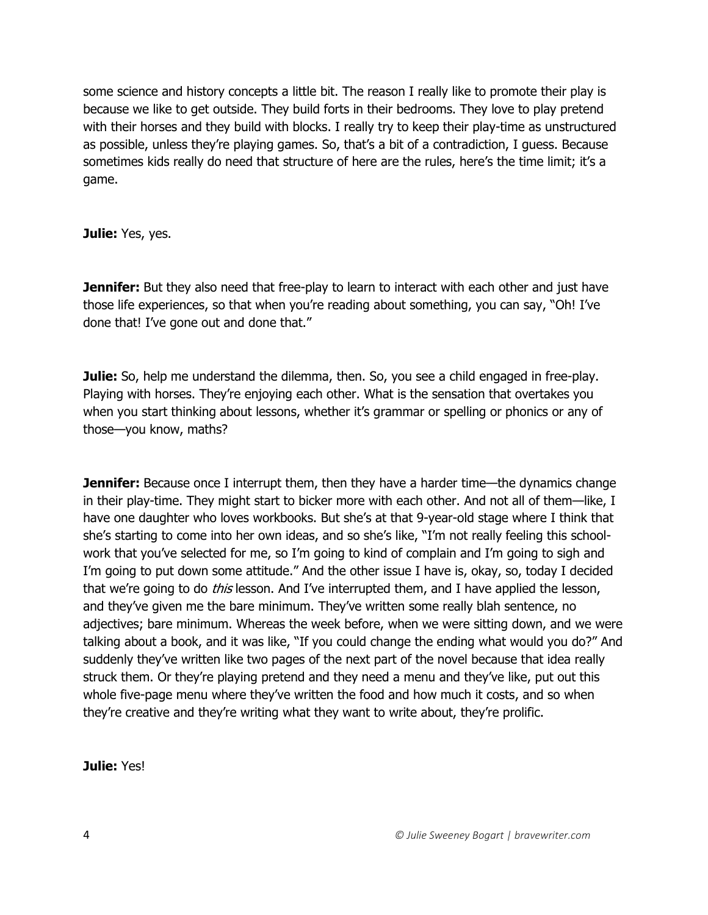some science and history concepts a little bit. The reason I really like to promote their play is because we like to get outside. They build forts in their bedrooms. They love to play pretend with their horses and they build with blocks. I really try to keep their play-time as unstructured as possible, unless they're playing games. So, that's a bit of a contradiction, I guess. Because sometimes kids really do need that structure of here are the rules, here's the time limit; it's a game.

**Julie:** Yes, yes.

**Jennifer:** But they also need that free-play to learn to interact with each other and just have those life experiences, so that when you're reading about something, you can say, "Oh! I've done that! I've gone out and done that."

**Julie:** So, help me understand the dilemma, then. So, you see a child engaged in free-play. Playing with horses. They're enjoying each other. What is the sensation that overtakes you when you start thinking about lessons, whether it's grammar or spelling or phonics or any of those—you know, maths?

**Jennifer:** Because once I interrupt them, then they have a harder time—the dynamics change in their play-time. They might start to bicker more with each other. And not all of them—like, I have one daughter who loves workbooks. But she's at that 9-year-old stage where I think that she's starting to come into her own ideas, and so she's like, "I'm not really feeling this schoolwork that you've selected for me, so I'm going to kind of complain and I'm going to sigh and I'm going to put down some attitude." And the other issue I have is, okay, so, today I decided that we're going to do *this* lesson. And I've interrupted them, and I have applied the lesson, and they've given me the bare minimum. They've written some really blah sentence, no adjectives; bare minimum. Whereas the week before, when we were sitting down, and we were talking about a book, and it was like, "If you could change the ending what would you do?" And suddenly they've written like two pages of the next part of the novel because that idea really struck them. Or they're playing pretend and they need a menu and they've like, put out this whole five-page menu where they've written the food and how much it costs, and so when they're creative and they're writing what they want to write about, they're prolific.

**Julie:** Yes!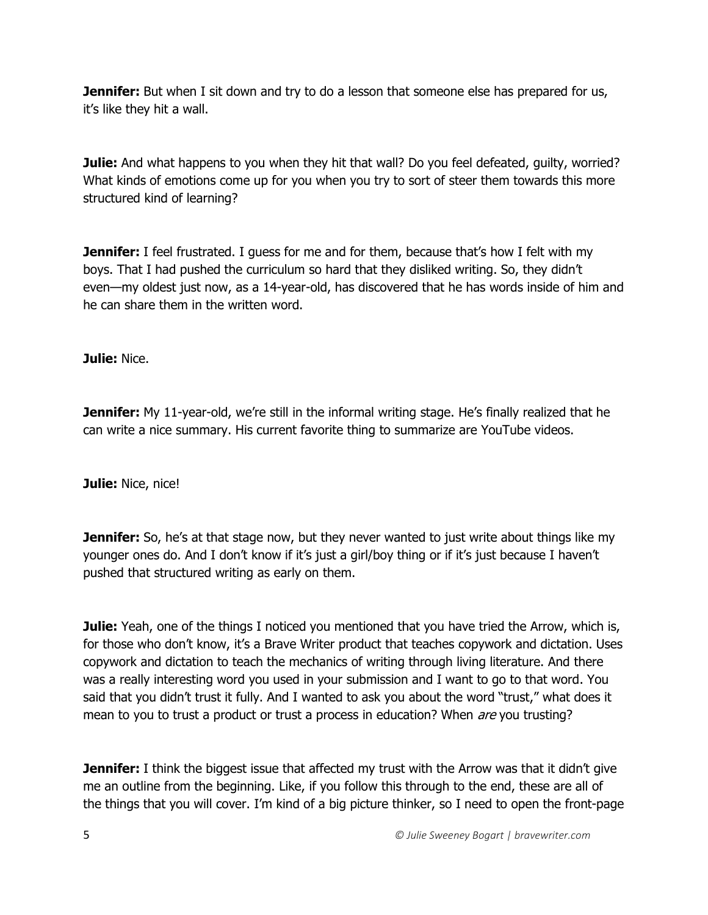**Jennifer:** But when I sit down and try to do a lesson that someone else has prepared for us, it's like they hit a wall.

**Julie:** And what happens to you when they hit that wall? Do you feel defeated, guilty, worried? What kinds of emotions come up for you when you try to sort of steer them towards this more structured kind of learning?

**Jennifer:** I feel frustrated. I guess for me and for them, because that's how I felt with my boys. That I had pushed the curriculum so hard that they disliked writing. So, they didn't even—my oldest just now, as a 14-year-old, has discovered that he has words inside of him and he can share them in the written word.

**Julie:** Nice.

**Jennifer:** My 11-year-old, we're still in the informal writing stage. He's finally realized that he can write a nice summary. His current favorite thing to summarize are YouTube videos.

**Julie:** Nice, nice!

**Jennifer:** So, he's at that stage now, but they never wanted to just write about things like my younger ones do. And I don't know if it's just a girl/boy thing or if it's just because I haven't pushed that structured writing as early on them.

**Julie:** Yeah, one of the things I noticed you mentioned that you have tried the Arrow, which is, for those who don't know, it's a Brave Writer product that teaches copywork and dictation. Uses copywork and dictation to teach the mechanics of writing through living literature. And there was a really interesting word you used in your submission and I want to go to that word. You said that you didn't trust it fully. And I wanted to ask you about the word "trust," what does it mean to you to trust a product or trust a process in education? When *are* you trusting?

**Jennifer:** I think the biggest issue that affected my trust with the Arrow was that it didn't give me an outline from the beginning. Like, if you follow this through to the end, these are all of the things that you will cover. I'm kind of a big picture thinker, so I need to open the front-page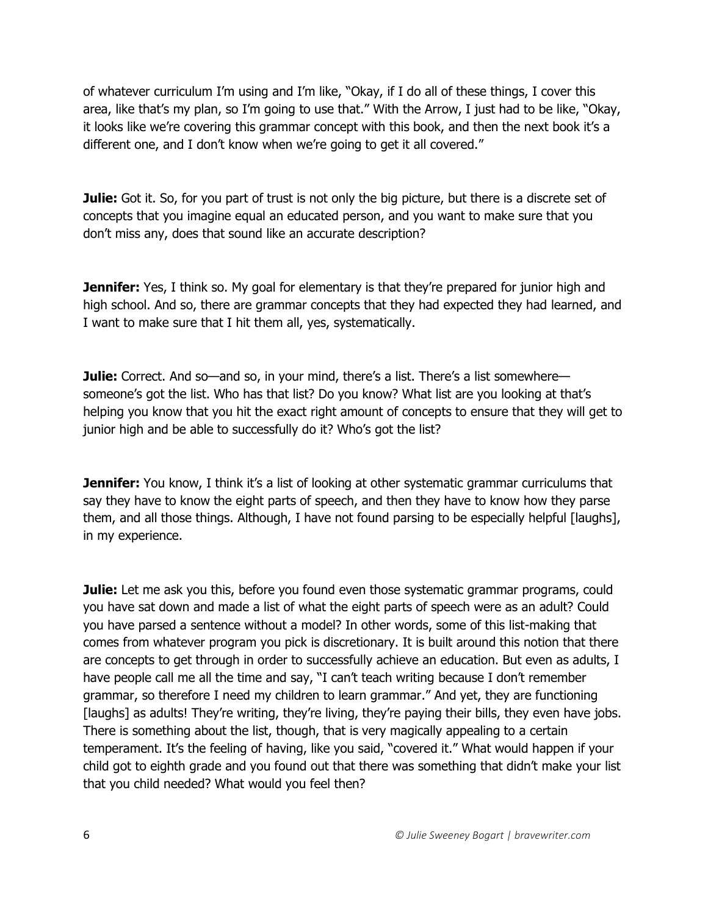of whatever curriculum I'm using and I'm like, "Okay, if I do all of these things, I cover this area, like that's my plan, so I'm going to use that." With the Arrow, I just had to be like, "Okay, it looks like we're covering this grammar concept with this book, and then the next book it's a different one, and I don't know when we're going to get it all covered."

**Julie:** Got it. So, for you part of trust is not only the big picture, but there is a discrete set of concepts that you imagine equal an educated person, and you want to make sure that you don't miss any, does that sound like an accurate description?

**Jennifer:** Yes, I think so. My goal for elementary is that they're prepared for junior high and high school. And so, there are grammar concepts that they had expected they had learned, and I want to make sure that I hit them all, yes, systematically.

**Julie:** Correct. And so—and so, in your mind, there's a list. There's a list somewhere someone's got the list. Who has that list? Do you know? What list are you looking at that's helping you know that you hit the exact right amount of concepts to ensure that they will get to junior high and be able to successfully do it? Who's got the list?

**Jennifer:** You know, I think it's a list of looking at other systematic grammar curriculums that say they have to know the eight parts of speech, and then they have to know how they parse them, and all those things. Although, I have not found parsing to be especially helpful [laughs], in my experience.

**Julie:** Let me ask you this, before you found even those systematic grammar programs, could you have sat down and made a list of what the eight parts of speech were as an adult? Could you have parsed a sentence without a model? In other words, some of this list-making that comes from whatever program you pick is discretionary. It is built around this notion that there are concepts to get through in order to successfully achieve an education. But even as adults, I have people call me all the time and say, "I can't teach writing because I don't remember grammar, so therefore I need my children to learn grammar." And yet, they are functioning [laughs] as adults! They're writing, they're living, they're paying their bills, they even have jobs. There is something about the list, though, that is very magically appealing to a certain temperament. It's the feeling of having, like you said, "covered it." What would happen if your child got to eighth grade and you found out that there was something that didn't make your list that you child needed? What would you feel then?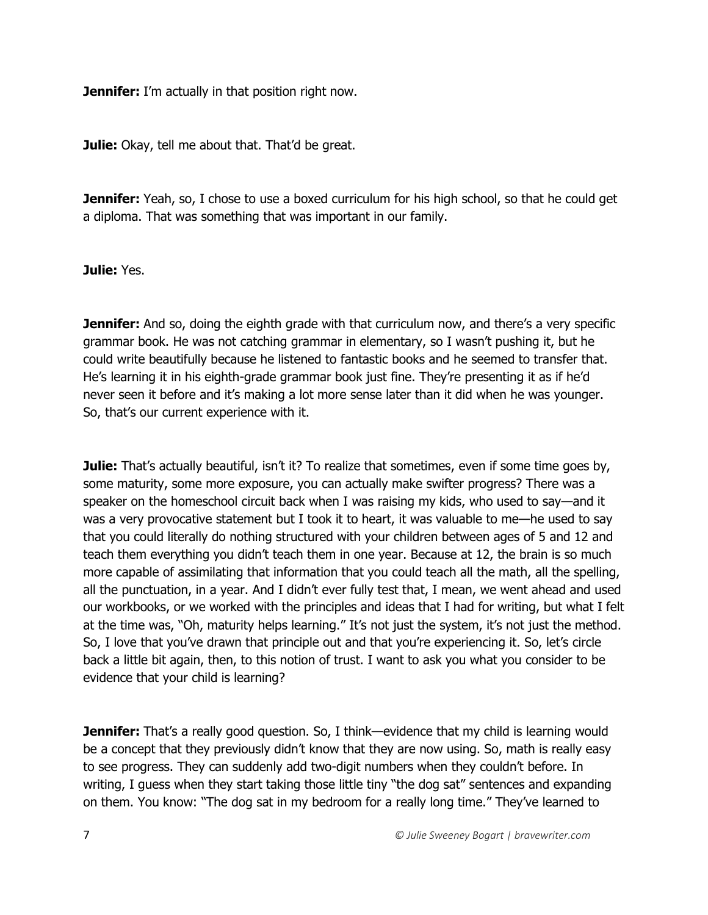**Jennifer:** I'm actually in that position right now.

**Julie:** Okay, tell me about that. That'd be great.

**Jennifer:** Yeah, so, I chose to use a boxed curriculum for his high school, so that he could get a diploma. That was something that was important in our family.

**Julie:** Yes.

**Jennifer:** And so, doing the eighth grade with that curriculum now, and there's a very specific grammar book. He was not catching grammar in elementary, so I wasn't pushing it, but he could write beautifully because he listened to fantastic books and he seemed to transfer that. He's learning it in his eighth-grade grammar book just fine. They're presenting it as if he'd never seen it before and it's making a lot more sense later than it did when he was younger. So, that's our current experience with it.

**Julie:** That's actually beautiful, isn't it? To realize that sometimes, even if some time goes by, some maturity, some more exposure, you can actually make swifter progress? There was a speaker on the homeschool circuit back when I was raising my kids, who used to say—and it was a very provocative statement but I took it to heart, it was valuable to me—he used to say that you could literally do nothing structured with your children between ages of 5 and 12 and teach them everything you didn't teach them in one year. Because at 12, the brain is so much more capable of assimilating that information that you could teach all the math, all the spelling, all the punctuation, in a year. And I didn't ever fully test that, I mean, we went ahead and used our workbooks, or we worked with the principles and ideas that I had for writing, but what I felt at the time was, "Oh, maturity helps learning." It's not just the system, it's not just the method. So, I love that you've drawn that principle out and that you're experiencing it. So, let's circle back a little bit again, then, to this notion of trust. I want to ask you what you consider to be evidence that your child is learning?

**Jennifer:** That's a really good question. So, I think—evidence that my child is learning would be a concept that they previously didn't know that they are now using. So, math is really easy to see progress. They can suddenly add two-digit numbers when they couldn't before. In writing, I guess when they start taking those little tiny "the dog sat" sentences and expanding on them. You know: "The dog sat in my bedroom for a really long time." They've learned to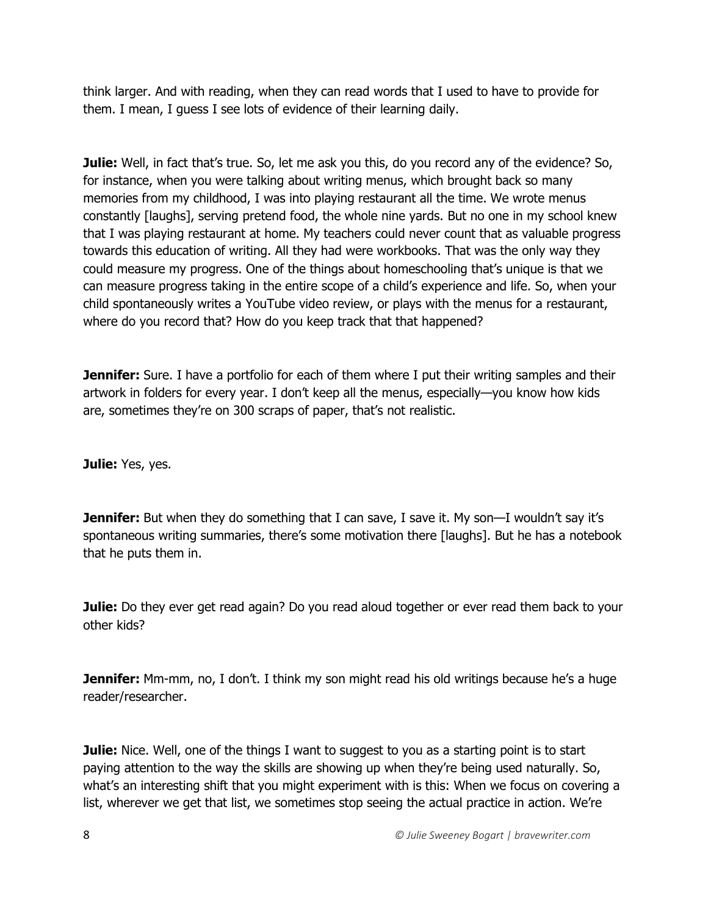think larger. And with reading, when they can read words that I used to have to provide for them. I mean, I guess I see lots of evidence of their learning daily.

**Julie:** Well, in fact that's true. So, let me ask you this, do you record any of the evidence? So, for instance, when you were talking about writing menus, which brought back so many memories from my childhood, I was into playing restaurant all the time. We wrote menus constantly [laughs], serving pretend food, the whole nine yards. But no one in my school knew that I was playing restaurant at home. My teachers could never count that as valuable progress towards this education of writing. All they had were workbooks. That was the only way they could measure my progress. One of the things about homeschooling that's unique is that we can measure progress taking in the entire scope of a child's experience and life. So, when your child spontaneously writes a YouTube video review, or plays with the menus for a restaurant, where do you record that? How do you keep track that that happened?

**Jennifer:** Sure. I have a portfolio for each of them where I put their writing samples and their artwork in folders for every year. I don't keep all the menus, especially—you know how kids are, sometimes they're on 300 scraps of paper, that's not realistic.

**Julie:** Yes, yes.

**Jennifer:** But when they do something that I can save, I save it. My son—I wouldn't say it's spontaneous writing summaries, there's some motivation there [laughs]. But he has a notebook that he puts them in.

**Julie:** Do they ever get read again? Do you read aloud together or ever read them back to your other kids?

**Jennifer:** Mm-mm, no, I don't. I think my son might read his old writings because he's a huge reader/researcher.

**Julie:** Nice. Well, one of the things I want to suggest to you as a starting point is to start paying attention to the way the skills are showing up when they're being used naturally. So, what's an interesting shift that you might experiment with is this: When we focus on covering a list, wherever we get that list, we sometimes stop seeing the actual practice in action. We're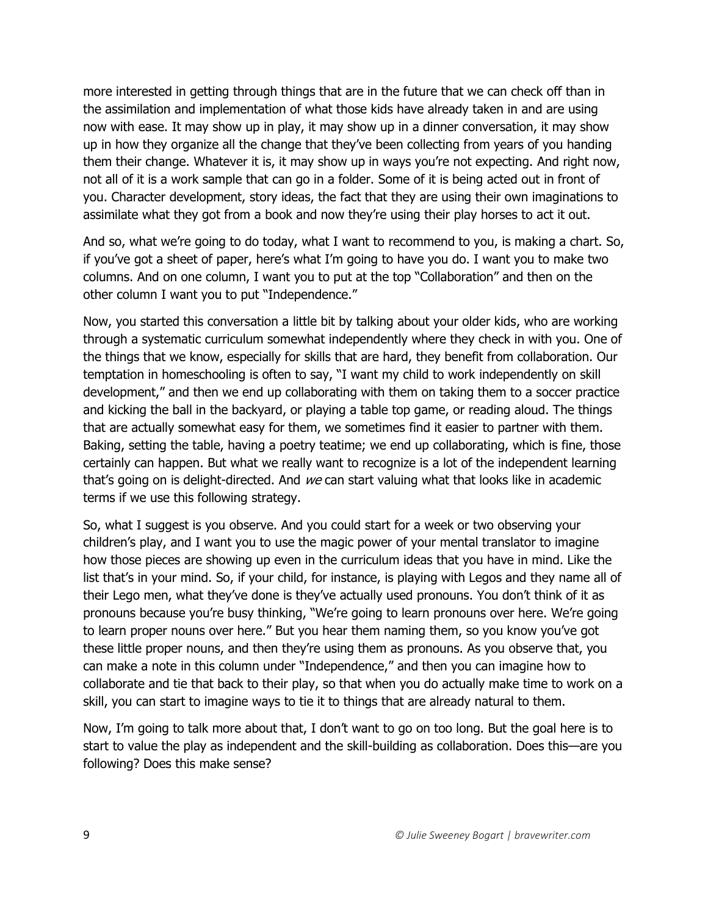more interested in getting through things that are in the future that we can check off than in the assimilation and implementation of what those kids have already taken in and are using now with ease. It may show up in play, it may show up in a dinner conversation, it may show up in how they organize all the change that they've been collecting from years of you handing them their change. Whatever it is, it may show up in ways you're not expecting. And right now, not all of it is a work sample that can go in a folder. Some of it is being acted out in front of you. Character development, story ideas, the fact that they are using their own imaginations to assimilate what they got from a book and now they're using their play horses to act it out.

And so, what we're going to do today, what I want to recommend to you, is making a chart. So, if you've got a sheet of paper, here's what I'm going to have you do. I want you to make two columns. And on one column, I want you to put at the top "Collaboration" and then on the other column I want you to put "Independence."

Now, you started this conversation a little bit by talking about your older kids, who are working through a systematic curriculum somewhat independently where they check in with you. One of the things that we know, especially for skills that are hard, they benefit from collaboration. Our temptation in homeschooling is often to say, "I want my child to work independently on skill development," and then we end up collaborating with them on taking them to a soccer practice and kicking the ball in the backyard, or playing a table top game, or reading aloud. The things that are actually somewhat easy for them, we sometimes find it easier to partner with them. Baking, setting the table, having a poetry teatime; we end up collaborating, which is fine, those certainly can happen. But what we really want to recognize is a lot of the independent learning that's going on is delight-directed. And we can start valuing what that looks like in academic terms if we use this following strategy.

So, what I suggest is you observe. And you could start for a week or two observing your children's play, and I want you to use the magic power of your mental translator to imagine how those pieces are showing up even in the curriculum ideas that you have in mind. Like the list that's in your mind. So, if your child, for instance, is playing with Legos and they name all of their Lego men, what they've done is they've actually used pronouns. You don't think of it as pronouns because you're busy thinking, "We're going to learn pronouns over here. We're going to learn proper nouns over here." But you hear them naming them, so you know you've got these little proper nouns, and then they're using them as pronouns. As you observe that, you can make a note in this column under "Independence," and then you can imagine how to collaborate and tie that back to their play, so that when you do actually make time to work on a skill, you can start to imagine ways to tie it to things that are already natural to them.

Now, I'm going to talk more about that, I don't want to go on too long. But the goal here is to start to value the play as independent and the skill-building as collaboration. Does this—are you following? Does this make sense?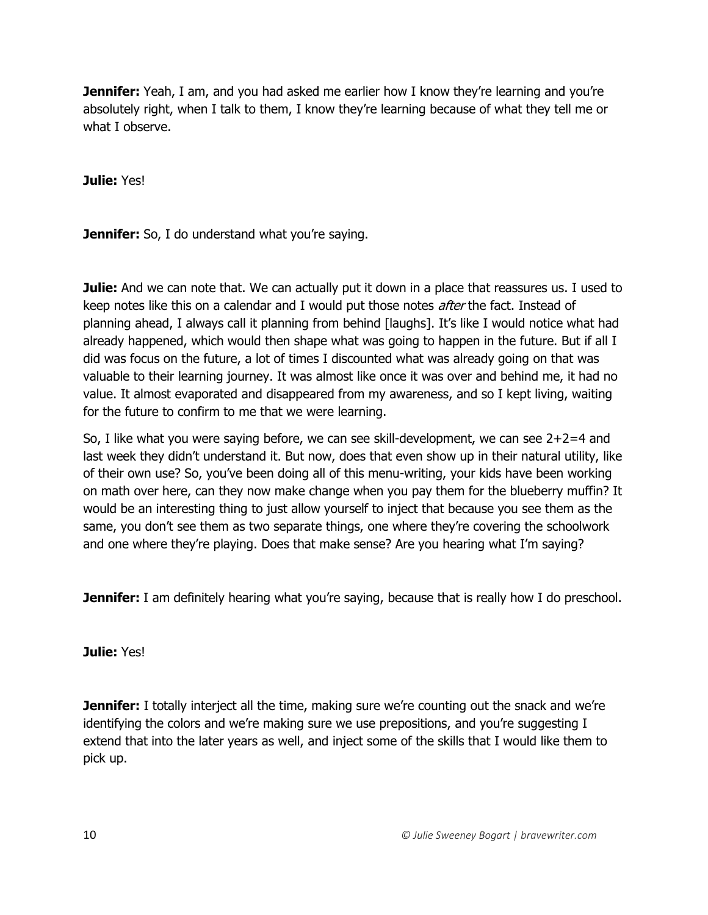**Jennifer:** Yeah, I am, and you had asked me earlier how I know they're learning and you're absolutely right, when I talk to them, I know they're learning because of what they tell me or what I observe.

**Julie:** Yes!

**Jennifer:** So, I do understand what you're saying.

**Julie:** And we can note that. We can actually put it down in a place that reassures us. I used to keep notes like this on a calendar and I would put those notes *after* the fact. Instead of planning ahead, I always call it planning from behind [laughs]. It's like I would notice what had already happened, which would then shape what was going to happen in the future. But if all I did was focus on the future, a lot of times I discounted what was already going on that was valuable to their learning journey. It was almost like once it was over and behind me, it had no value. It almost evaporated and disappeared from my awareness, and so I kept living, waiting for the future to confirm to me that we were learning.

So, I like what you were saying before, we can see skill-development, we can see 2+2=4 and last week they didn't understand it. But now, does that even show up in their natural utility, like of their own use? So, you've been doing all of this menu-writing, your kids have been working on math over here, can they now make change when you pay them for the blueberry muffin? It would be an interesting thing to just allow yourself to inject that because you see them as the same, you don't see them as two separate things, one where they're covering the schoolwork and one where they're playing. Does that make sense? Are you hearing what I'm saying?

**Jennifer:** I am definitely hearing what you're saying, because that is really how I do preschool.

**Julie:** Yes!

**Jennifer:** I totally interject all the time, making sure we're counting out the snack and we're identifying the colors and we're making sure we use prepositions, and you're suggesting I extend that into the later years as well, and inject some of the skills that I would like them to pick up.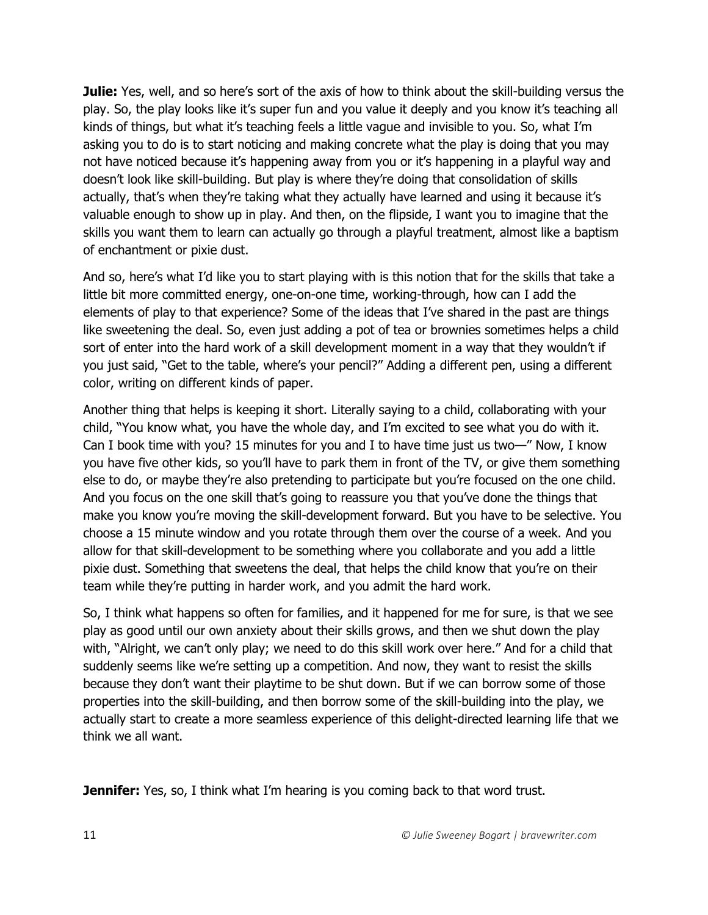**Julie:** Yes, well, and so here's sort of the axis of how to think about the skill-building versus the play. So, the play looks like it's super fun and you value it deeply and you know it's teaching all kinds of things, but what it's teaching feels a little vague and invisible to you. So, what I'm asking you to do is to start noticing and making concrete what the play is doing that you may not have noticed because it's happening away from you or it's happening in a playful way and doesn't look like skill-building. But play is where they're doing that consolidation of skills actually, that's when they're taking what they actually have learned and using it because it's valuable enough to show up in play. And then, on the flipside, I want you to imagine that the skills you want them to learn can actually go through a playful treatment, almost like a baptism of enchantment or pixie dust.

And so, here's what I'd like you to start playing with is this notion that for the skills that take a little bit more committed energy, one-on-one time, working-through, how can I add the elements of play to that experience? Some of the ideas that I've shared in the past are things like sweetening the deal. So, even just adding a pot of tea or brownies sometimes helps a child sort of enter into the hard work of a skill development moment in a way that they wouldn't if you just said, "Get to the table, where's your pencil?" Adding a different pen, using a different color, writing on different kinds of paper.

Another thing that helps is keeping it short. Literally saying to a child, collaborating with your child, "You know what, you have the whole day, and I'm excited to see what you do with it. Can I book time with you? 15 minutes for you and I to have time just us two—" Now, I know you have five other kids, so you'll have to park them in front of the TV, or give them something else to do, or maybe they're also pretending to participate but you're focused on the one child. And you focus on the one skill that's going to reassure you that you've done the things that make you know you're moving the skill-development forward. But you have to be selective. You choose a 15 minute window and you rotate through them over the course of a week. And you allow for that skill-development to be something where you collaborate and you add a little pixie dust. Something that sweetens the deal, that helps the child know that you're on their team while they're putting in harder work, and you admit the hard work.

So, I think what happens so often for families, and it happened for me for sure, is that we see play as good until our own anxiety about their skills grows, and then we shut down the play with, "Alright, we can't only play; we need to do this skill work over here." And for a child that suddenly seems like we're setting up a competition. And now, they want to resist the skills because they don't want their playtime to be shut down. But if we can borrow some of those properties into the skill-building, and then borrow some of the skill-building into the play, we actually start to create a more seamless experience of this delight-directed learning life that we think we all want.

**Jennifer:** Yes, so, I think what I'm hearing is you coming back to that word trust.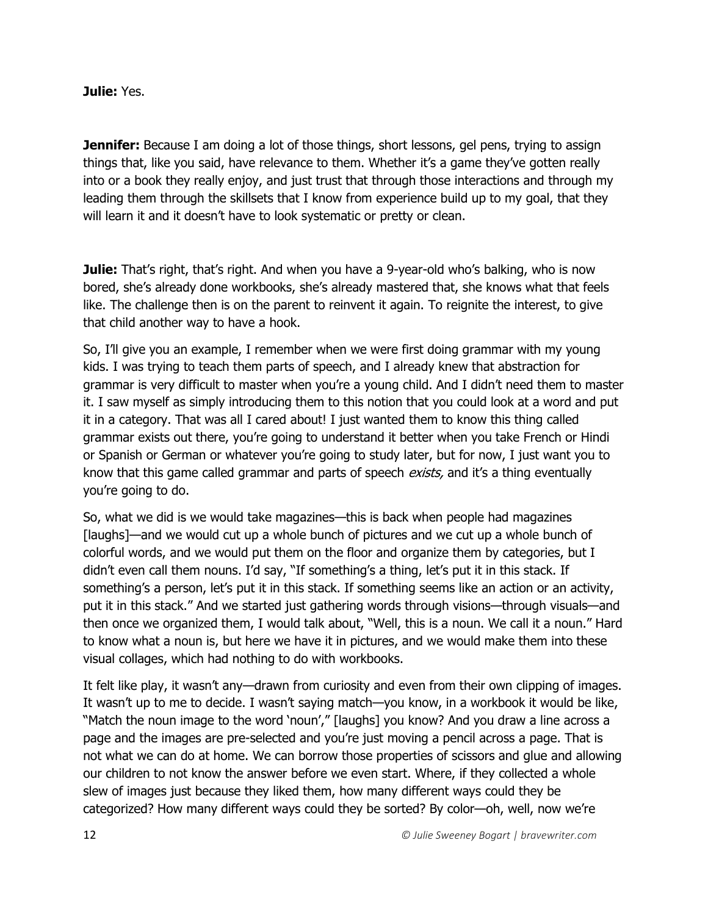**Julie:** Yes.

**Jennifer:** Because I am doing a lot of those things, short lessons, gel pens, trying to assign things that, like you said, have relevance to them. Whether it's a game they've gotten really into or a book they really enjoy, and just trust that through those interactions and through my leading them through the skillsets that I know from experience build up to my goal, that they will learn it and it doesn't have to look systematic or pretty or clean.

**Julie:** That's right, that's right. And when you have a 9-year-old who's balking, who is now bored, she's already done workbooks, she's already mastered that, she knows what that feels like. The challenge then is on the parent to reinvent it again. To reignite the interest, to give that child another way to have a hook.

So, I'll give you an example, I remember when we were first doing grammar with my young kids. I was trying to teach them parts of speech, and I already knew that abstraction for grammar is very difficult to master when you're a young child. And I didn't need them to master it. I saw myself as simply introducing them to this notion that you could look at a word and put it in a category. That was all I cared about! I just wanted them to know this thing called grammar exists out there, you're going to understand it better when you take French or Hindi or Spanish or German or whatever you're going to study later, but for now, I just want you to know that this game called grammar and parts of speech *exists*, and it's a thing eventually you're going to do.

So, what we did is we would take magazines—this is back when people had magazines [laughs]—and we would cut up a whole bunch of pictures and we cut up a whole bunch of colorful words, and we would put them on the floor and organize them by categories, but I didn't even call them nouns. I'd say, "If something's a thing, let's put it in this stack. If something's a person, let's put it in this stack. If something seems like an action or an activity, put it in this stack." And we started just gathering words through visions—through visuals—and then once we organized them, I would talk about, "Well, this is a noun. We call it a noun." Hard to know what a noun is, but here we have it in pictures, and we would make them into these visual collages, which had nothing to do with workbooks.

It felt like play, it wasn't any—drawn from curiosity and even from their own clipping of images. It wasn't up to me to decide. I wasn't saying match—you know, in a workbook it would be like, "Match the noun image to the word 'noun'," [laughs] you know? And you draw a line across a page and the images are pre-selected and you're just moving a pencil across a page. That is not what we can do at home. We can borrow those properties of scissors and glue and allowing our children to not know the answer before we even start. Where, if they collected a whole slew of images just because they liked them, how many different ways could they be categorized? How many different ways could they be sorted? By color—oh, well, now we're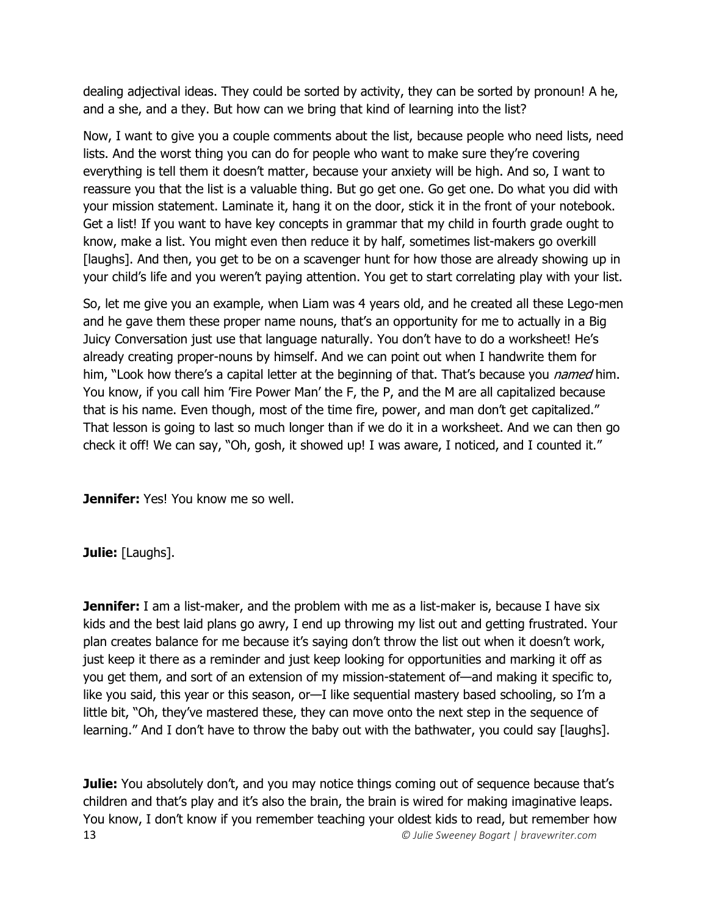dealing adjectival ideas. They could be sorted by activity, they can be sorted by pronoun! A he, and a she, and a they. But how can we bring that kind of learning into the list?

Now, I want to give you a couple comments about the list, because people who need lists, need lists. And the worst thing you can do for people who want to make sure they're covering everything is tell them it doesn't matter, because your anxiety will be high. And so, I want to reassure you that the list is a valuable thing. But go get one. Go get one. Do what you did with your mission statement. Laminate it, hang it on the door, stick it in the front of your notebook. Get a list! If you want to have key concepts in grammar that my child in fourth grade ought to know, make a list. You might even then reduce it by half, sometimes list-makers go overkill [laughs]. And then, you get to be on a scavenger hunt for how those are already showing up in your child's life and you weren't paying attention. You get to start correlating play with your list.

So, let me give you an example, when Liam was 4 years old, and he created all these Lego-men and he gave them these proper name nouns, that's an opportunity for me to actually in a Big Juicy Conversation just use that language naturally. You don't have to do a worksheet! He's already creating proper-nouns by himself. And we can point out when I handwrite them for him, "Look how there's a capital letter at the beginning of that. That's because you *named* him. You know, if you call him 'Fire Power Man' the F, the P, and the M are all capitalized because that is his name. Even though, most of the time fire, power, and man don't get capitalized." That lesson is going to last so much longer than if we do it in a worksheet. And we can then go check it off! We can say, "Oh, gosh, it showed up! I was aware, I noticed, and I counted it."

**Jennifer:** Yes! You know me so well.

**Julie:** [Laughs].

**Jennifer:** I am a list-maker, and the problem with me as a list-maker is, because I have six kids and the best laid plans go awry, I end up throwing my list out and getting frustrated. Your plan creates balance for me because it's saying don't throw the list out when it doesn't work, just keep it there as a reminder and just keep looking for opportunities and marking it off as you get them, and sort of an extension of my mission-statement of—and making it specific to, like you said, this year or this season, or—I like sequential mastery based schooling, so I'm a little bit, "Oh, they've mastered these, they can move onto the next step in the sequence of learning." And I don't have to throw the baby out with the bathwater, you could say [laughs].

13 *© Julie Sweeney Bogart | bravewriter.com* **Julie:** You absolutely don't, and you may notice things coming out of sequence because that's children and that's play and it's also the brain, the brain is wired for making imaginative leaps. You know, I don't know if you remember teaching your oldest kids to read, but remember how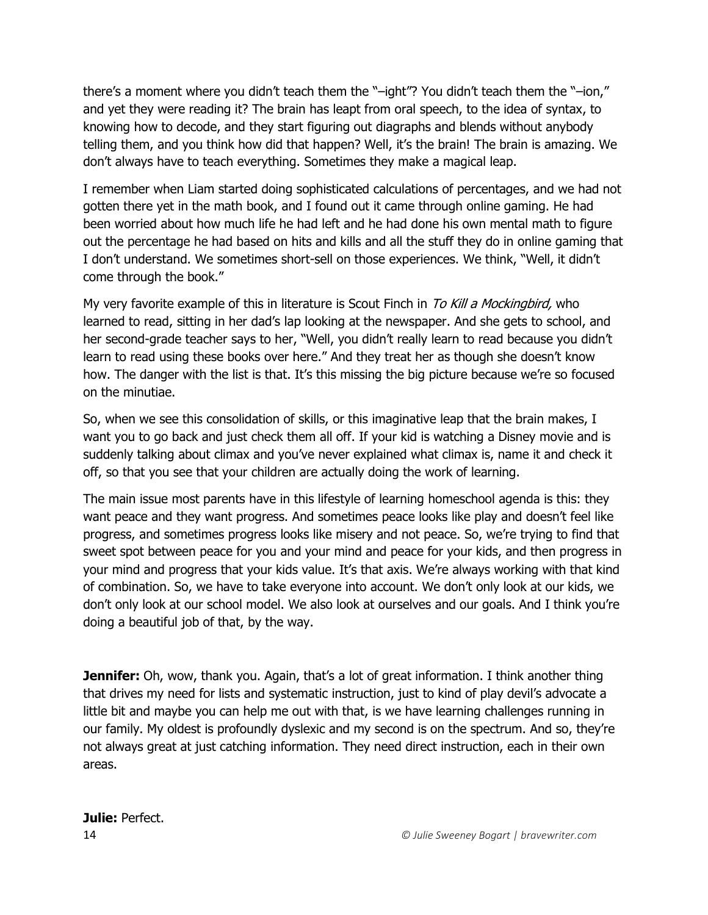there's a moment where you didn't teach them the "–ight"? You didn't teach them the "–ion," and yet they were reading it? The brain has leapt from oral speech, to the idea of syntax, to knowing how to decode, and they start figuring out diagraphs and blends without anybody telling them, and you think how did that happen? Well, it's the brain! The brain is amazing. We don't always have to teach everything. Sometimes they make a magical leap.

I remember when Liam started doing sophisticated calculations of percentages, and we had not gotten there yet in the math book, and I found out it came through online gaming. He had been worried about how much life he had left and he had done his own mental math to figure out the percentage he had based on hits and kills and all the stuff they do in online gaming that I don't understand. We sometimes short-sell on those experiences. We think, "Well, it didn't come through the book."

My very favorite example of this in literature is Scout Finch in To Kill a Mockingbird, who learned to read, sitting in her dad's lap looking at the newspaper. And she gets to school, and her second-grade teacher says to her, "Well, you didn't really learn to read because you didn't learn to read using these books over here." And they treat her as though she doesn't know how. The danger with the list is that. It's this missing the big picture because we're so focused on the minutiae.

So, when we see this consolidation of skills, or this imaginative leap that the brain makes, I want you to go back and just check them all off. If your kid is watching a Disney movie and is suddenly talking about climax and you've never explained what climax is, name it and check it off, so that you see that your children are actually doing the work of learning.

The main issue most parents have in this lifestyle of learning homeschool agenda is this: they want peace and they want progress. And sometimes peace looks like play and doesn't feel like progress, and sometimes progress looks like misery and not peace. So, we're trying to find that sweet spot between peace for you and your mind and peace for your kids, and then progress in your mind and progress that your kids value. It's that axis. We're always working with that kind of combination. So, we have to take everyone into account. We don't only look at our kids, we don't only look at our school model. We also look at ourselves and our goals. And I think you're doing a beautiful job of that, by the way.

**Jennifer:** Oh, wow, thank you. Again, that's a lot of great information. I think another thing that drives my need for lists and systematic instruction, just to kind of play devil's advocate a little bit and maybe you can help me out with that, is we have learning challenges running in our family. My oldest is profoundly dyslexic and my second is on the spectrum. And so, they're not always great at just catching information. They need direct instruction, each in their own areas.

# **Julie:** Perfect.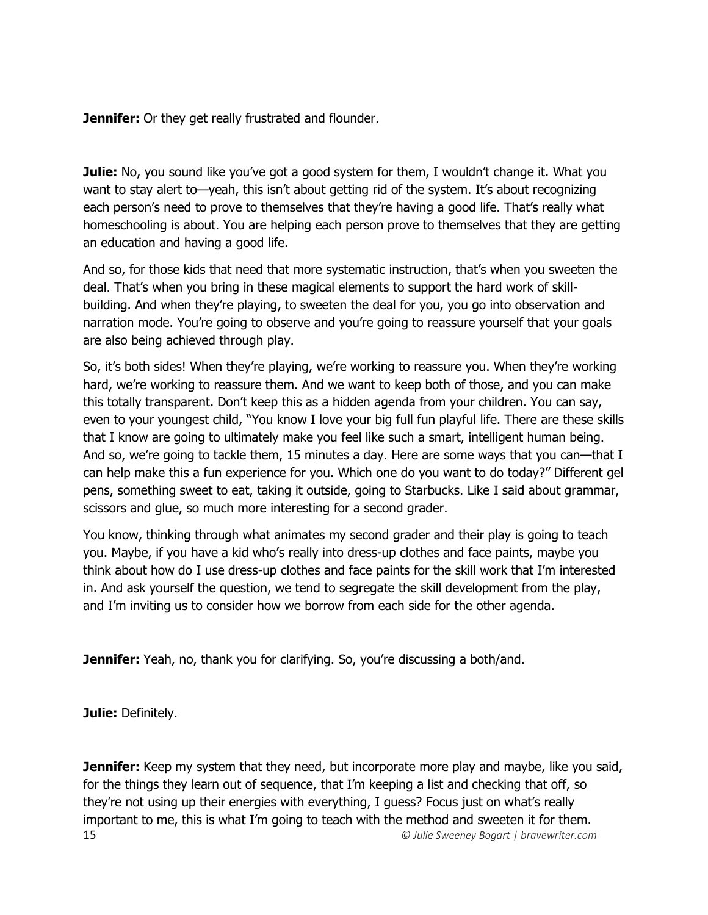**Jennifer:** Or they get really frustrated and flounder.

**Julie:** No, you sound like you've got a good system for them, I wouldn't change it. What you want to stay alert to—yeah, this isn't about getting rid of the system. It's about recognizing each person's need to prove to themselves that they're having a good life. That's really what homeschooling is about. You are helping each person prove to themselves that they are getting an education and having a good life.

And so, for those kids that need that more systematic instruction, that's when you sweeten the deal. That's when you bring in these magical elements to support the hard work of skillbuilding. And when they're playing, to sweeten the deal for you, you go into observation and narration mode. You're going to observe and you're going to reassure yourself that your goals are also being achieved through play.

So, it's both sides! When they're playing, we're working to reassure you. When they're working hard, we're working to reassure them. And we want to keep both of those, and you can make this totally transparent. Don't keep this as a hidden agenda from your children. You can say, even to your youngest child, "You know I love your big full fun playful life. There are these skills that I know are going to ultimately make you feel like such a smart, intelligent human being. And so, we're going to tackle them, 15 minutes a day. Here are some ways that you can—that I can help make this a fun experience for you. Which one do you want to do today?" Different gel pens, something sweet to eat, taking it outside, going to Starbucks. Like I said about grammar, scissors and glue, so much more interesting for a second grader.

You know, thinking through what animates my second grader and their play is going to teach you. Maybe, if you have a kid who's really into dress-up clothes and face paints, maybe you think about how do I use dress-up clothes and face paints for the skill work that I'm interested in. And ask yourself the question, we tend to segregate the skill development from the play, and I'm inviting us to consider how we borrow from each side for the other agenda.

**Jennifer:** Yeah, no, thank you for clarifying. So, you're discussing a both/and.

**Julie:** Definitely.

15 *© Julie Sweeney Bogart | bravewriter.com* **Jennifer:** Keep my system that they need, but incorporate more play and maybe, like you said, for the things they learn out of sequence, that I'm keeping a list and checking that off, so they're not using up their energies with everything, I guess? Focus just on what's really important to me, this is what I'm going to teach with the method and sweeten it for them.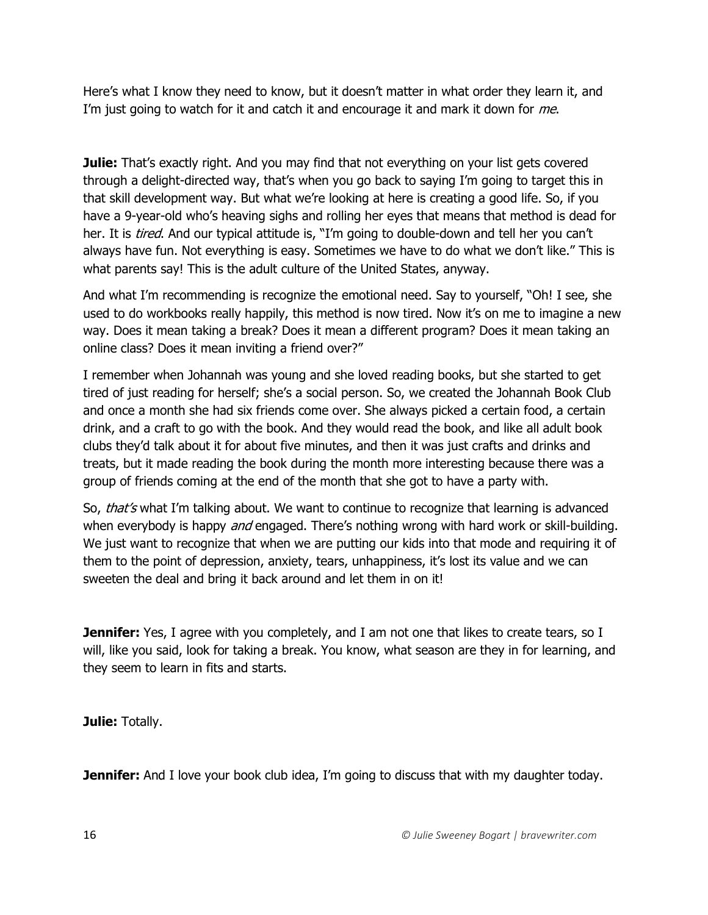Here's what I know they need to know, but it doesn't matter in what order they learn it, and I'm just going to watch for it and catch it and encourage it and mark it down for me.

**Julie:** That's exactly right. And you may find that not everything on your list gets covered through a delight-directed way, that's when you go back to saying I'm going to target this in that skill development way. But what we're looking at here is creating a good life. So, if you have a 9-year-old who's heaving sighs and rolling her eyes that means that method is dead for her. It is *tired*. And our typical attitude is, "I'm going to double-down and tell her you can't always have fun. Not everything is easy. Sometimes we have to do what we don't like." This is what parents say! This is the adult culture of the United States, anyway.

And what I'm recommending is recognize the emotional need. Say to yourself, "Oh! I see, she used to do workbooks really happily, this method is now tired. Now it's on me to imagine a new way. Does it mean taking a break? Does it mean a different program? Does it mean taking an online class? Does it mean inviting a friend over?"

I remember when Johannah was young and she loved reading books, but she started to get tired of just reading for herself; she's a social person. So, we created the Johannah Book Club and once a month she had six friends come over. She always picked a certain food, a certain drink, and a craft to go with the book. And they would read the book, and like all adult book clubs they'd talk about it for about five minutes, and then it was just crafts and drinks and treats, but it made reading the book during the month more interesting because there was a group of friends coming at the end of the month that she got to have a party with.

So, that's what I'm talking about. We want to continue to recognize that learning is advanced when everybody is happy *and* engaged. There's nothing wrong with hard work or skill-building. We just want to recognize that when we are putting our kids into that mode and requiring it of them to the point of depression, anxiety, tears, unhappiness, it's lost its value and we can sweeten the deal and bring it back around and let them in on it!

**Jennifer:** Yes, I agree with you completely, and I am not one that likes to create tears, so I will, like you said, look for taking a break. You know, what season are they in for learning, and they seem to learn in fits and starts.

**Julie:** Totally.

**Jennifer:** And I love your book club idea, I'm going to discuss that with my daughter today.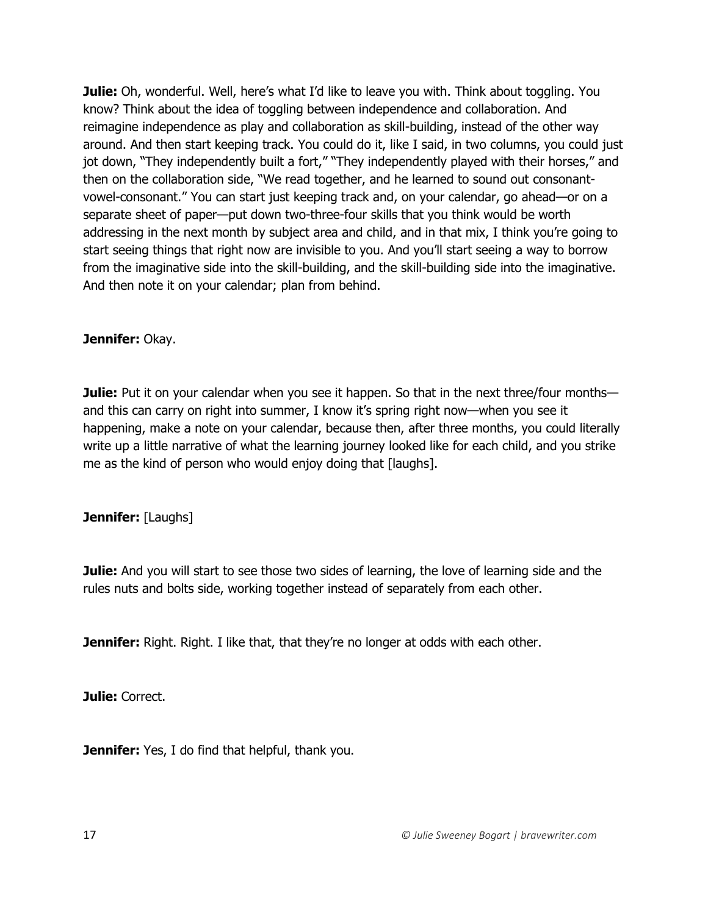**Julie:** Oh, wonderful. Well, here's what I'd like to leave you with. Think about toggling. You know? Think about the idea of toggling between independence and collaboration. And reimagine independence as play and collaboration as skill-building, instead of the other way around. And then start keeping track. You could do it, like I said, in two columns, you could just jot down, "They independently built a fort," "They independently played with their horses," and then on the collaboration side, "We read together, and he learned to sound out consonantvowel-consonant." You can start just keeping track and, on your calendar, go ahead—or on a separate sheet of paper—put down two-three-four skills that you think would be worth addressing in the next month by subject area and child, and in that mix, I think you're going to start seeing things that right now are invisible to you. And you'll start seeing a way to borrow from the imaginative side into the skill-building, and the skill-building side into the imaginative. And then note it on your calendar; plan from behind.

#### **Jennifer:** Okay.

**Julie:** Put it on your calendar when you see it happen. So that in the next three/four months and this can carry on right into summer, I know it's spring right now—when you see it happening, make a note on your calendar, because then, after three months, you could literally write up a little narrative of what the learning journey looked like for each child, and you strike me as the kind of person who would enjoy doing that [laughs].

#### **Jennifer:** [Laughs]

**Julie:** And you will start to see those two sides of learning, the love of learning side and the rules nuts and bolts side, working together instead of separately from each other.

**Jennifer:** Right. Right. I like that, that they're no longer at odds with each other.

**Julie:** Correct.

**Jennifer:** Yes, I do find that helpful, thank you.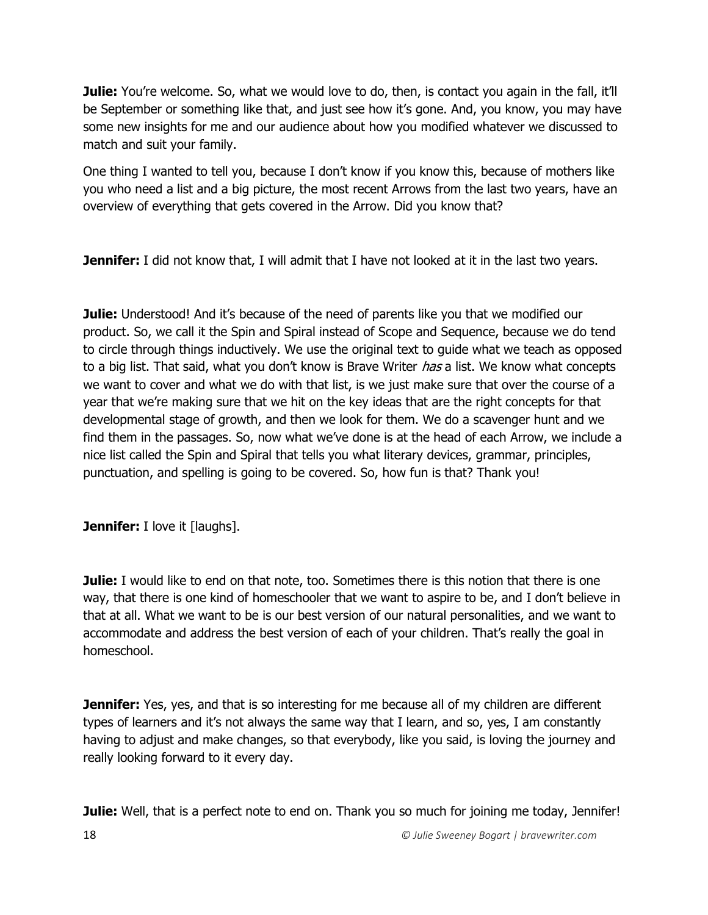**Julie:** You're welcome. So, what we would love to do, then, is contact you again in the fall, it'll be September or something like that, and just see how it's gone. And, you know, you may have some new insights for me and our audience about how you modified whatever we discussed to match and suit your family.

One thing I wanted to tell you, because I don't know if you know this, because of mothers like you who need a list and a big picture, the most recent Arrows from the last two years, have an overview of everything that gets covered in the Arrow. Did you know that?

**Jennifer:** I did not know that, I will admit that I have not looked at it in the last two years.

**Julie:** Understood! And it's because of the need of parents like you that we modified our product. So, we call it the Spin and Spiral instead of Scope and Sequence, because we do tend to circle through things inductively. We use the original text to guide what we teach as opposed to a big list. That said, what you don't know is Brave Writer *has* a list. We know what concepts we want to cover and what we do with that list, is we just make sure that over the course of a year that we're making sure that we hit on the key ideas that are the right concepts for that developmental stage of growth, and then we look for them. We do a scavenger hunt and we find them in the passages. So, now what we've done is at the head of each Arrow, we include a nice list called the Spin and Spiral that tells you what literary devices, grammar, principles, punctuation, and spelling is going to be covered. So, how fun is that? Thank you!

**Jennifer:** I love it [laughs].

**Julie:** I would like to end on that note, too. Sometimes there is this notion that there is one way, that there is one kind of homeschooler that we want to aspire to be, and I don't believe in that at all. What we want to be is our best version of our natural personalities, and we want to accommodate and address the best version of each of your children. That's really the goal in homeschool.

**Jennifer:** Yes, yes, and that is so interesting for me because all of my children are different types of learners and it's not always the same way that I learn, and so, yes, I am constantly having to adjust and make changes, so that everybody, like you said, is loving the journey and really looking forward to it every day.

**Julie:** Well, that is a perfect note to end on. Thank you so much for joining me today, Jennifer!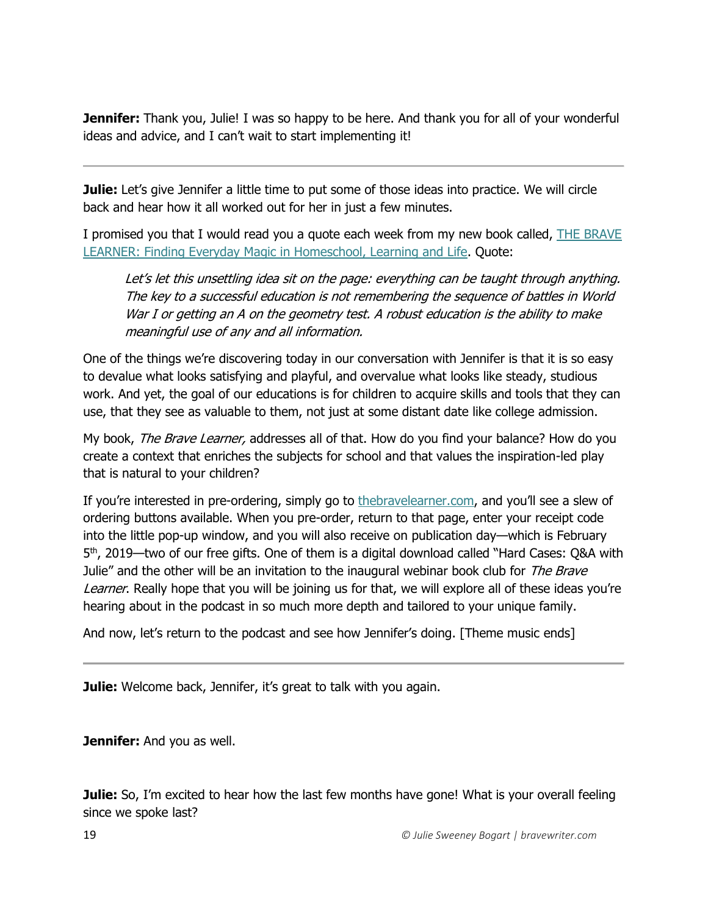**Jennifer:** Thank you, Julie! I was so happy to be here. And thank you for all of your wonderful ideas and advice, and I can't wait to start implementing it!

**Julie:** Let's give Jennifer a little time to put some of those ideas into practice. We will circle back and hear how it all worked out for her in just a few minutes.

I promised you that I would read you a quote each week from my new book called, THE BRAVE [LEARNER: Finding Everyday Magic in Homeschool, Learning and Life.](https://thebravelearner.com/) Quote:

Let's let this unsettling idea sit on the page: everything can be taught through anything. The key to a successful education is not remembering the sequence of battles in World War I or getting an A on the geometry test. A robust education is the ability to make meaningful use of any and all information.

One of the things we're discovering today in our conversation with Jennifer is that it is so easy to devalue what looks satisfying and playful, and overvalue what looks like steady, studious work. And yet, the goal of our educations is for children to acquire skills and tools that they can use, that they see as valuable to them, not just at some distant date like college admission.

My book, The Brave Learner, addresses all of that. How do you find your balance? How do you create a context that enriches the subjects for school and that values the inspiration-led play that is natural to your children?

If you're interested in pre-ordering, simply go to the bravelearner.com, and you'll see a slew of ordering buttons available. When you pre-order, return to that page, enter your receipt code into the little pop-up window, and you will also receive on publication day—which is February 5<sup>th</sup>, 2019—two of our free gifts. One of them is a digital download called "Hard Cases: Q&A with Julie" and the other will be an invitation to the inaugural webinar book club for The Brave Learner. Really hope that you will be joining us for that, we will explore all of these ideas you're hearing about in the podcast in so much more depth and tailored to your unique family.

And now, let's return to the podcast and see how Jennifer's doing. [Theme music ends]

**Julie:** Welcome back, Jennifer, it's great to talk with you again.

**Jennifer:** And you as well.

**Julie:** So, I'm excited to hear how the last few months have gone! What is your overall feeling since we spoke last?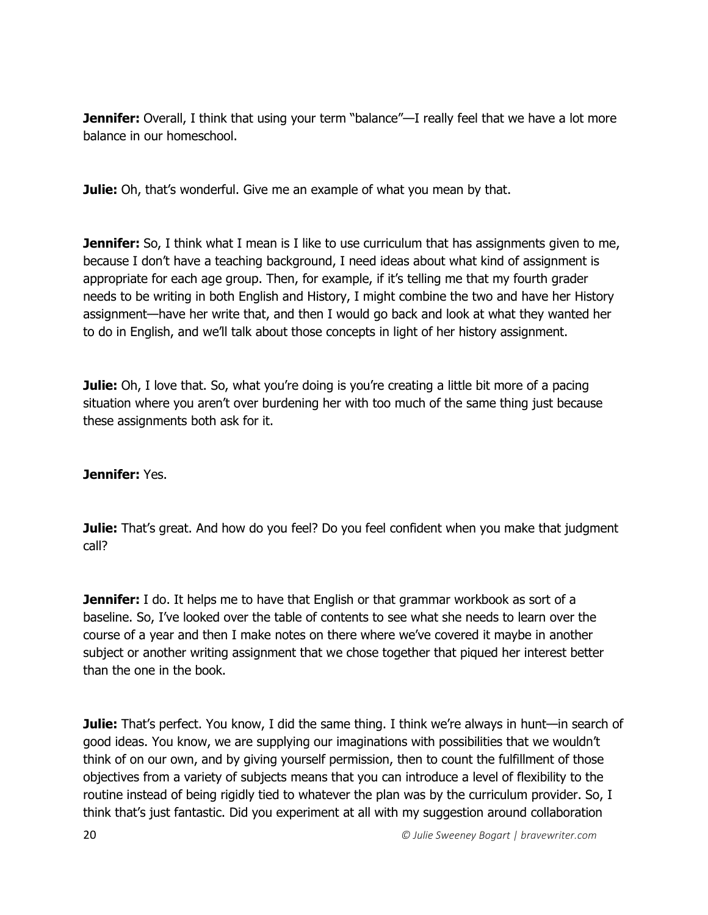**Jennifer:** Overall, I think that using your term "balance"—I really feel that we have a lot more balance in our homeschool.

**Julie:** Oh, that's wonderful. Give me an example of what you mean by that.

**Jennifer:** So, I think what I mean is I like to use curriculum that has assignments given to me, because I don't have a teaching background, I need ideas about what kind of assignment is appropriate for each age group. Then, for example, if it's telling me that my fourth grader needs to be writing in both English and History, I might combine the two and have her History assignment—have her write that, and then I would go back and look at what they wanted her to do in English, and we'll talk about those concepts in light of her history assignment.

**Julie:** Oh, I love that. So, what you're doing is you're creating a little bit more of a pacing situation where you aren't over burdening her with too much of the same thing just because these assignments both ask for it.

#### **Jennifer:** Yes.

**Julie:** That's great. And how do you feel? Do you feel confident when you make that judgment call?

**Jennifer:** I do. It helps me to have that English or that grammar workbook as sort of a baseline. So, I've looked over the table of contents to see what she needs to learn over the course of a year and then I make notes on there where we've covered it maybe in another subject or another writing assignment that we chose together that piqued her interest better than the one in the book.

**Julie:** That's perfect. You know, I did the same thing. I think we're always in hunt—in search of good ideas. You know, we are supplying our imaginations with possibilities that we wouldn't think of on our own, and by giving yourself permission, then to count the fulfillment of those objectives from a variety of subjects means that you can introduce a level of flexibility to the routine instead of being rigidly tied to whatever the plan was by the curriculum provider. So, I think that's just fantastic. Did you experiment at all with my suggestion around collaboration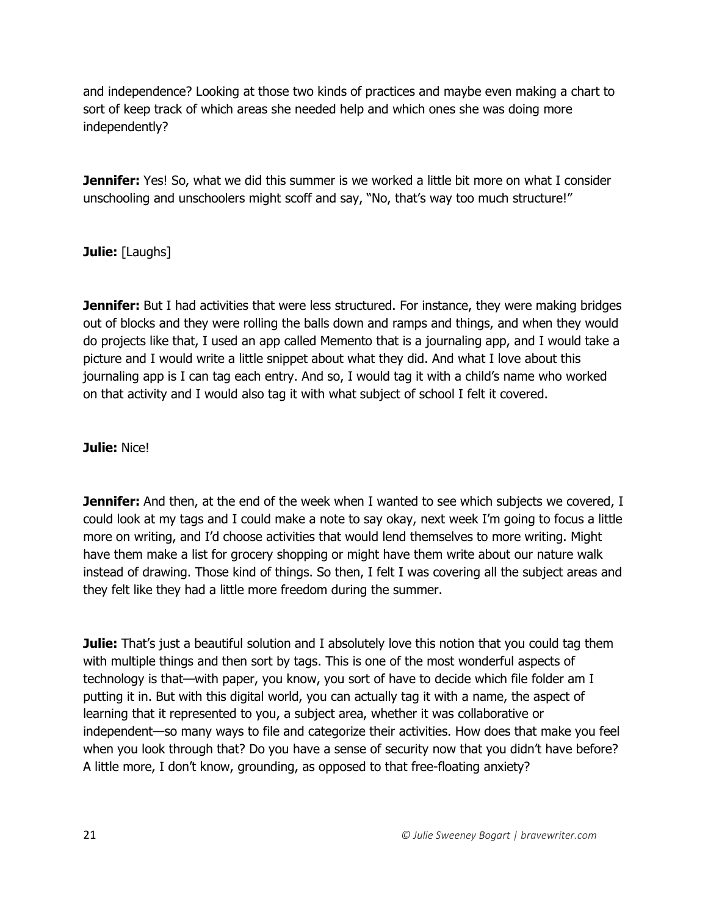and independence? Looking at those two kinds of practices and maybe even making a chart to sort of keep track of which areas she needed help and which ones she was doing more independently?

**Jennifer:** Yes! So, what we did this summer is we worked a little bit more on what I consider unschooling and unschoolers might scoff and say, "No, that's way too much structure!"

### **Julie:** [Laughs]

**Jennifer:** But I had activities that were less structured. For instance, they were making bridges out of blocks and they were rolling the balls down and ramps and things, and when they would do projects like that, I used an app called Memento that is a journaling app, and I would take a picture and I would write a little snippet about what they did. And what I love about this journaling app is I can tag each entry. And so, I would tag it with a child's name who worked on that activity and I would also tag it with what subject of school I felt it covered.

#### **Julie:** Nice!

**Jennifer:** And then, at the end of the week when I wanted to see which subjects we covered, I could look at my tags and I could make a note to say okay, next week I'm going to focus a little more on writing, and I'd choose activities that would lend themselves to more writing. Might have them make a list for grocery shopping or might have them write about our nature walk instead of drawing. Those kind of things. So then, I felt I was covering all the subject areas and they felt like they had a little more freedom during the summer.

**Julie:** That's just a beautiful solution and I absolutely love this notion that you could tag them with multiple things and then sort by tags. This is one of the most wonderful aspects of technology is that—with paper, you know, you sort of have to decide which file folder am I putting it in. But with this digital world, you can actually tag it with a name, the aspect of learning that it represented to you, a subject area, whether it was collaborative or independent—so many ways to file and categorize their activities. How does that make you feel when you look through that? Do you have a sense of security now that you didn't have before? A little more, I don't know, grounding, as opposed to that free-floating anxiety?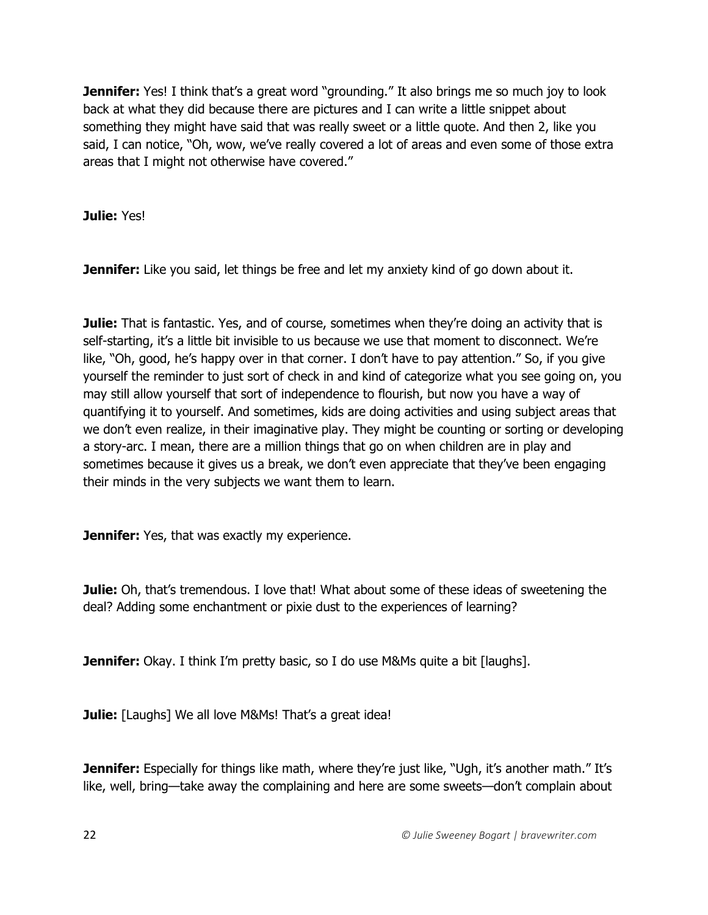**Jennifer:** Yes! I think that's a great word "grounding." It also brings me so much joy to look back at what they did because there are pictures and I can write a little snippet about something they might have said that was really sweet or a little quote. And then 2, like you said, I can notice, "Oh, wow, we've really covered a lot of areas and even some of those extra areas that I might not otherwise have covered."

**Julie:** Yes!

**Jennifer:** Like you said, let things be free and let my anxiety kind of go down about it.

**Julie:** That is fantastic. Yes, and of course, sometimes when they're doing an activity that is self-starting, it's a little bit invisible to us because we use that moment to disconnect. We're like, "Oh, good, he's happy over in that corner. I don't have to pay attention." So, if you give yourself the reminder to just sort of check in and kind of categorize what you see going on, you may still allow yourself that sort of independence to flourish, but now you have a way of quantifying it to yourself. And sometimes, kids are doing activities and using subject areas that we don't even realize, in their imaginative play. They might be counting or sorting or developing a story-arc. I mean, there are a million things that go on when children are in play and sometimes because it gives us a break, we don't even appreciate that they've been engaging their minds in the very subjects we want them to learn.

**Jennifer:** Yes, that was exactly my experience.

**Julie:** Oh, that's tremendous. I love that! What about some of these ideas of sweetening the deal? Adding some enchantment or pixie dust to the experiences of learning?

**Jennifer:** Okay. I think I'm pretty basic, so I do use M&Ms quite a bit [laughs].

**Julie:** [Laughs] We all love M&Ms! That's a great idea!

**Jennifer:** Especially for things like math, where they're just like, "Ugh, it's another math." It's like, well, bring—take away the complaining and here are some sweets—don't complain about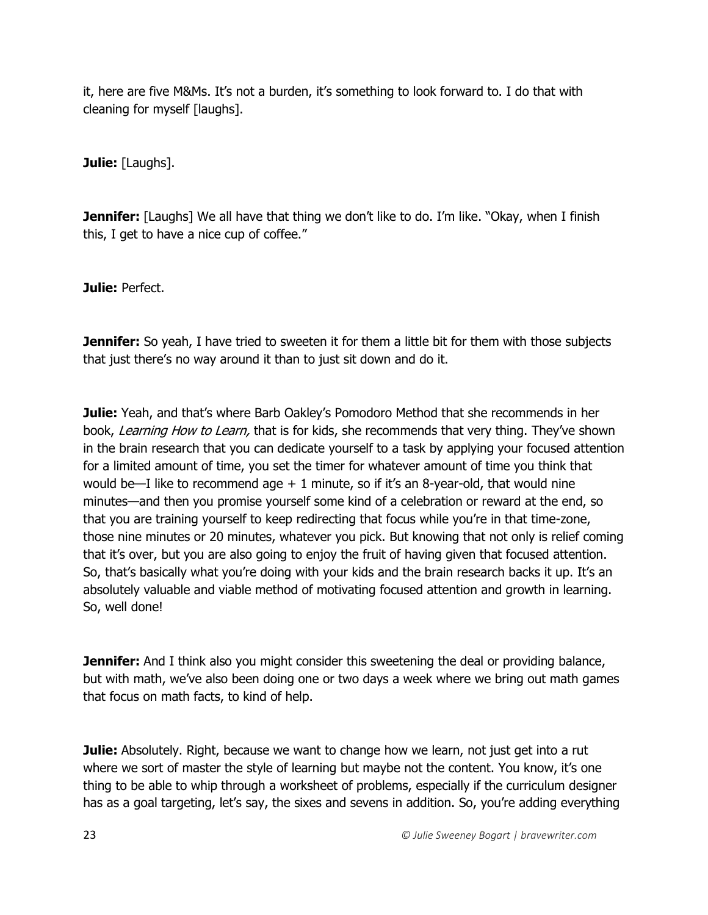it, here are five M&Ms. It's not a burden, it's something to look forward to. I do that with cleaning for myself [laughs].

**Julie:** [Laughs].

**Jennifer:** [Laughs] We all have that thing we don't like to do. I'm like. "Okay, when I finish this, I get to have a nice cup of coffee."

**Julie:** Perfect.

**Jennifer:** So yeah, I have tried to sweeten it for them a little bit for them with those subjects that just there's no way around it than to just sit down and do it.

**Julie:** Yeah, and that's where Barb Oakley's Pomodoro Method that she recommends in her book, Learning How to Learn, that is for kids, she recommends that very thing. They've shown in the brain research that you can dedicate yourself to a task by applying your focused attention for a limited amount of time, you set the timer for whatever amount of time you think that would be—I like to recommend age  $+1$  minute, so if it's an 8-year-old, that would nine minutes—and then you promise yourself some kind of a celebration or reward at the end, so that you are training yourself to keep redirecting that focus while you're in that time-zone, those nine minutes or 20 minutes, whatever you pick. But knowing that not only is relief coming that it's over, but you are also going to enjoy the fruit of having given that focused attention. So, that's basically what you're doing with your kids and the brain research backs it up. It's an absolutely valuable and viable method of motivating focused attention and growth in learning. So, well done!

**Jennifer:** And I think also you might consider this sweetening the deal or providing balance, but with math, we've also been doing one or two days a week where we bring out math games that focus on math facts, to kind of help.

**Julie:** Absolutely. Right, because we want to change how we learn, not just get into a rut where we sort of master the style of learning but maybe not the content. You know, it's one thing to be able to whip through a worksheet of problems, especially if the curriculum designer has as a goal targeting, let's say, the sixes and sevens in addition. So, you're adding everything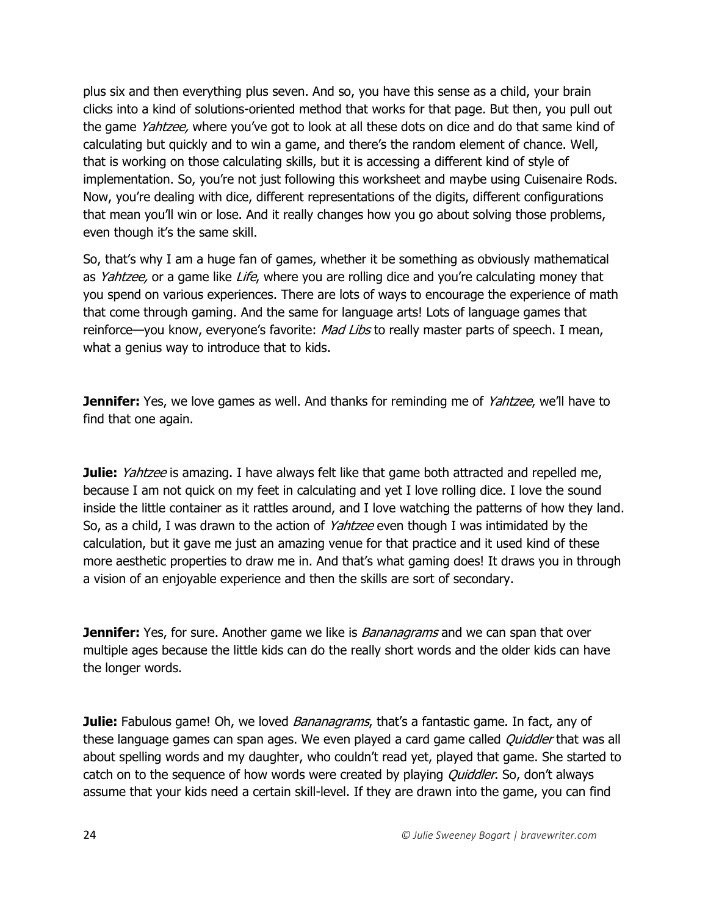plus six and then everything plus seven. And so, you have this sense as a child, your brain clicks into a kind of solutions-oriented method that works for that page. But then, you pull out the game Yahtzee, where you've got to look at all these dots on dice and do that same kind of calculating but quickly and to win a game, and there's the random element of chance. Well, that is working on those calculating skills, but it is accessing a different kind of style of implementation. So, you're not just following this worksheet and maybe using Cuisenaire Rods. Now, you're dealing with dice, different representations of the digits, different configurations that mean you'll win or lose. And it really changes how you go about solving those problems, even though it's the same skill.

So, that's why I am a huge fan of games, whether it be something as obviously mathematical as Yahtzee, or a game like Life, where you are rolling dice and you're calculating money that you spend on various experiences. There are lots of ways to encourage the experience of math that come through gaming. And the same for language arts! Lots of language games that reinforce—you know, everyone's favorite: Mad Libs to really master parts of speech. I mean, what a genius way to introduce that to kids.

**Jennifer:** Yes, we love games as well. And thanks for reminding me of *Yahtzee*, we'll have to find that one again.

**Julie:** *Yahtzee* is amazing. I have always felt like that game both attracted and repelled me, because I am not quick on my feet in calculating and yet I love rolling dice. I love the sound inside the little container as it rattles around, and I love watching the patterns of how they land. So, as a child, I was drawn to the action of *Yahtzee* even though I was intimidated by the calculation, but it gave me just an amazing venue for that practice and it used kind of these more aesthetic properties to draw me in. And that's what gaming does! It draws you in through a vision of an enjoyable experience and then the skills are sort of secondary.

**Jennifer:** Yes, for sure. Another game we like is *Bananagrams* and we can span that over multiple ages because the little kids can do the really short words and the older kids can have the longer words.

**Julie:** Fabulous game! Oh, we loved *Bananagrams*, that's a fantastic game. In fact, any of these language games can span ages. We even played a card game called *Quiddler* that was all about spelling words and my daughter, who couldn't read yet, played that game. She started to catch on to the sequence of how words were created by playing *Quiddler*. So, don't always assume that your kids need a certain skill-level. If they are drawn into the game, you can find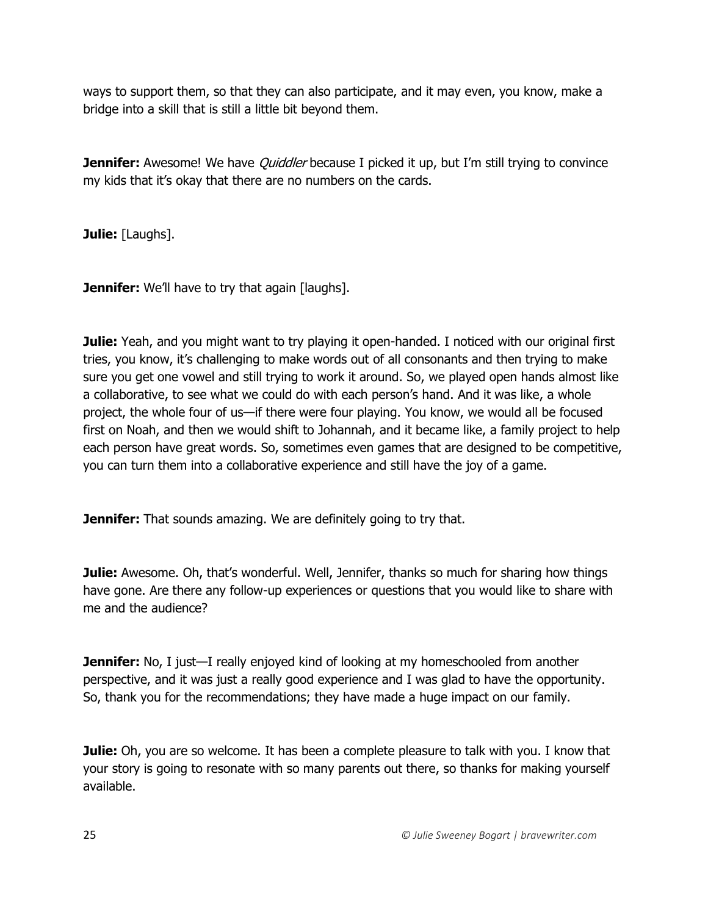ways to support them, so that they can also participate, and it may even, you know, make a bridge into a skill that is still a little bit beyond them.

**Jennifer:** Awesome! We have *Quiddler* because I picked it up, but I'm still trying to convince my kids that it's okay that there are no numbers on the cards.

**Julie:** [Laughs].

**Jennifer:** We'll have to try that again [laughs].

**Julie:** Yeah, and you might want to try playing it open-handed. I noticed with our original first tries, you know, it's challenging to make words out of all consonants and then trying to make sure you get one vowel and still trying to work it around. So, we played open hands almost like a collaborative, to see what we could do with each person's hand. And it was like, a whole project, the whole four of us—if there were four playing. You know, we would all be focused first on Noah, and then we would shift to Johannah, and it became like, a family project to help each person have great words. So, sometimes even games that are designed to be competitive, you can turn them into a collaborative experience and still have the joy of a game.

**Jennifer:** That sounds amazing. We are definitely going to try that.

**Julie:** Awesome. Oh, that's wonderful. Well, Jennifer, thanks so much for sharing how things have gone. Are there any follow-up experiences or questions that you would like to share with me and the audience?

**Jennifer:** No, I just—I really enjoyed kind of looking at my homeschooled from another perspective, and it was just a really good experience and I was glad to have the opportunity. So, thank you for the recommendations; they have made a huge impact on our family.

**Julie:** Oh, you are so welcome. It has been a complete pleasure to talk with you. I know that your story is going to resonate with so many parents out there, so thanks for making yourself available.